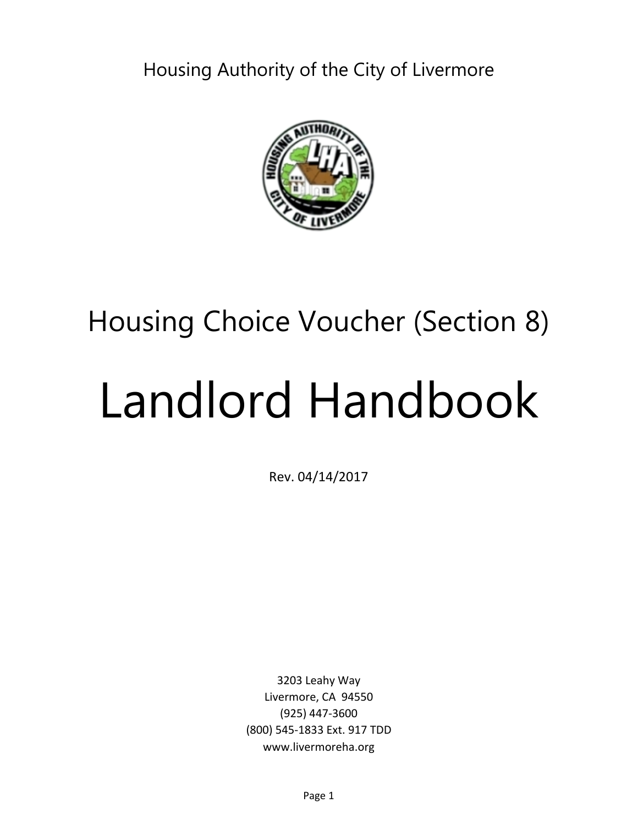Housing Authority of the City of Livermore



## Housing Choice Voucher (Section 8)

# Landlord Handbook

Rev. 04/14/2017

3203 Leahy Way Livermore, CA 94550 (925) 447-3600 (800) 545-1833 Ext. 917 TDD www.livermoreha.org

Page 1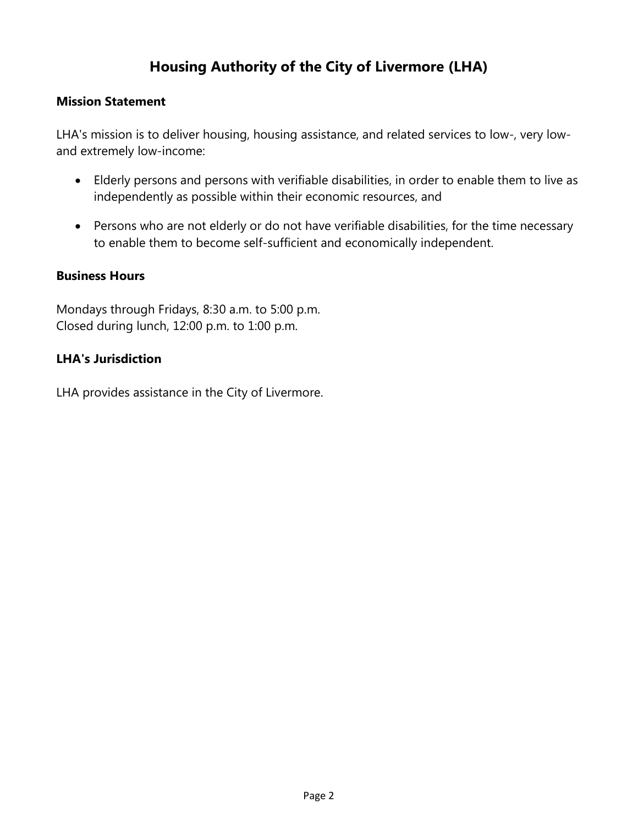## **Housing Authority of the City of Livermore (LHA)**

#### **Mission Statement**

LHA's mission is to deliver housing, housing assistance, and related services to low-, very lowand extremely low-income:

- Elderly persons and persons with verifiable disabilities, in order to enable them to live as independently as possible within their economic resources, and
- Persons who are not elderly or do not have verifiable disabilities, for the time necessary to enable them to become self-sufficient and economically independent.

#### **Business Hours**

Mondays through Fridays, 8:30 a.m. to 5:00 p.m. Closed during lunch, 12:00 p.m. to 1:00 p.m.

#### **LHA's Jurisdiction**

LHA provides assistance in the City of Livermore.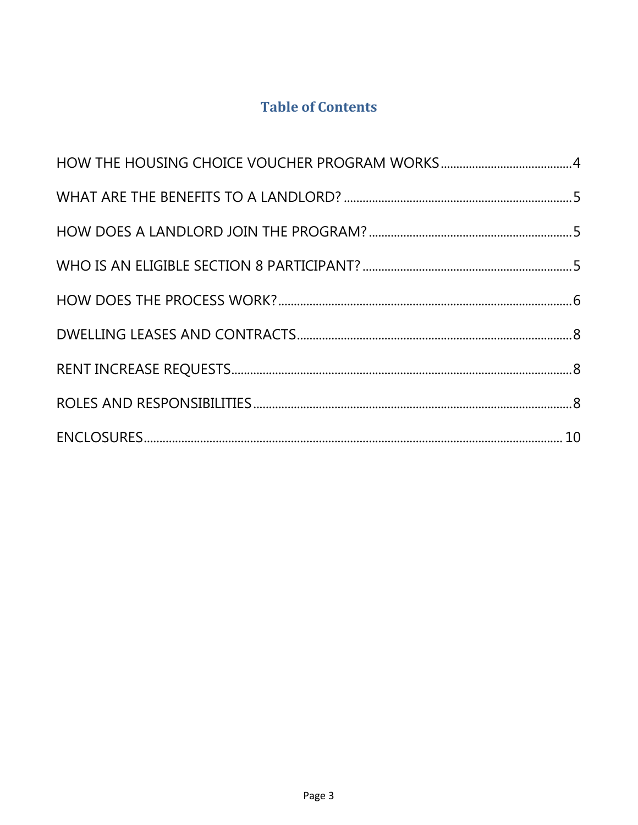## **Table of Contents**

<span id="page-2-0"></span>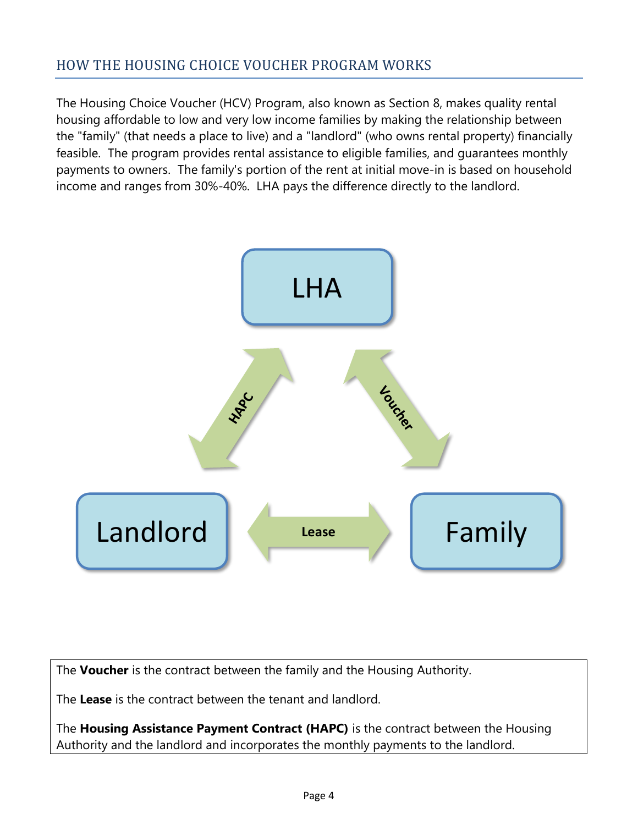## HOW THE HOUSING CHOICE VOUCHER PROGRAM WORKS

The Housing Choice Voucher (HCV) Program, also known as Section 8, makes quality rental housing affordable to low and very low income families by making the relationship between the "family" (that needs a place to live) and a "landlord" (who owns rental property) financially feasible. The program provides rental assistance to eligible families, and guarantees monthly payments to owners. The family's portion of the rent at initial move-in is based on household income and ranges from 30%-40%. LHA pays the difference directly to the landlord.



The **Voucher** is the contract between the family and the Housing Authority.

The **Lease** is the contract between the tenant and landlord.

The **Housing Assistance Payment Contract (HAPC)** is the contract between the Housing Authority and the landlord and incorporates the monthly payments to the landlord.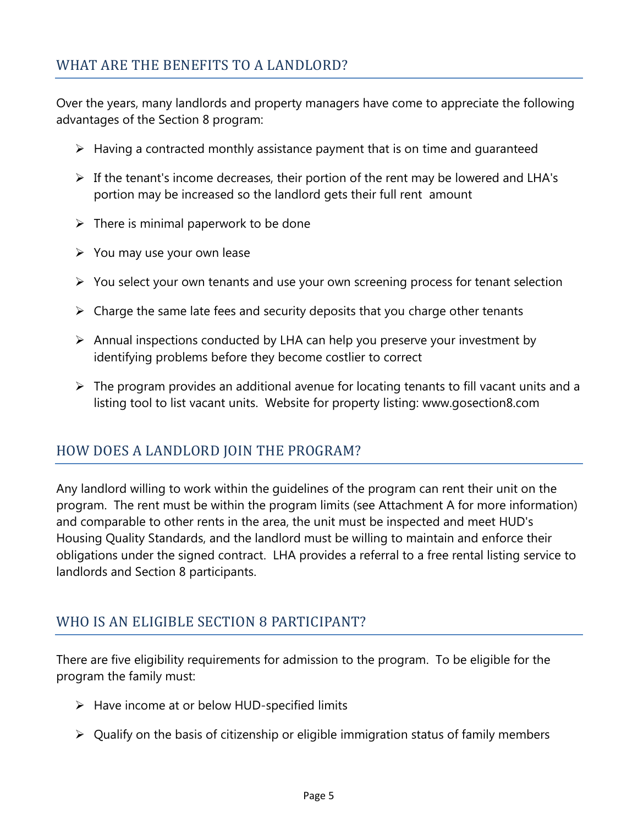## <span id="page-4-0"></span>WHAT ARE THE BENEFITS TO A LANDLORD?

Over the years, many landlords and property managers have come to appreciate the following advantages of the Section 8 program:

- $\triangleright$  Having a contracted monthly assistance payment that is on time and quaranteed
- $\triangleright$  If the tenant's income decreases, their portion of the rent may be lowered and LHA's portion may be increased so the landlord gets their full rent amount
- $\triangleright$  There is minimal paperwork to be done
- $\triangleright$  You may use your own lease
- $\triangleright$  You select your own tenants and use your own screening process for tenant selection
- $\triangleright$  Charge the same late fees and security deposits that you charge other tenants
- $\triangleright$  Annual inspections conducted by LHA can help you preserve your investment by identifying problems before they become costlier to correct
- $\triangleright$  The program provides an additional avenue for locating tenants to fill vacant units and a listing tool to list vacant units. Website for property listing: [www.gosection8.com](http://www.gosection8.com/)

## <span id="page-4-1"></span>HOW DOES A LANDLORD JOIN THE PROGRAM?

Any landlord willing to work within the guidelines of the program can rent their unit on the program. The rent must be within the program limits (see Attachment A for more information) and comparable to other rents in the area, the unit must be inspected and meet HUD's Housing Quality Standards, and the landlord must be willing to maintain and enforce their obligations under the signed contract. LHA provides a referral to a free rental listing service to landlords and Section 8 participants.

## <span id="page-4-2"></span>WHO IS AN ELIGIBLE SECTION 8 PARTICIPANT?

There are five eligibility requirements for admission to the program. To be eligible for the program the family must:

- $\triangleright$  Have income at or below HUD-specified limits
- $\triangleright$  Qualify on the basis of citizenship or eligible immigration status of family members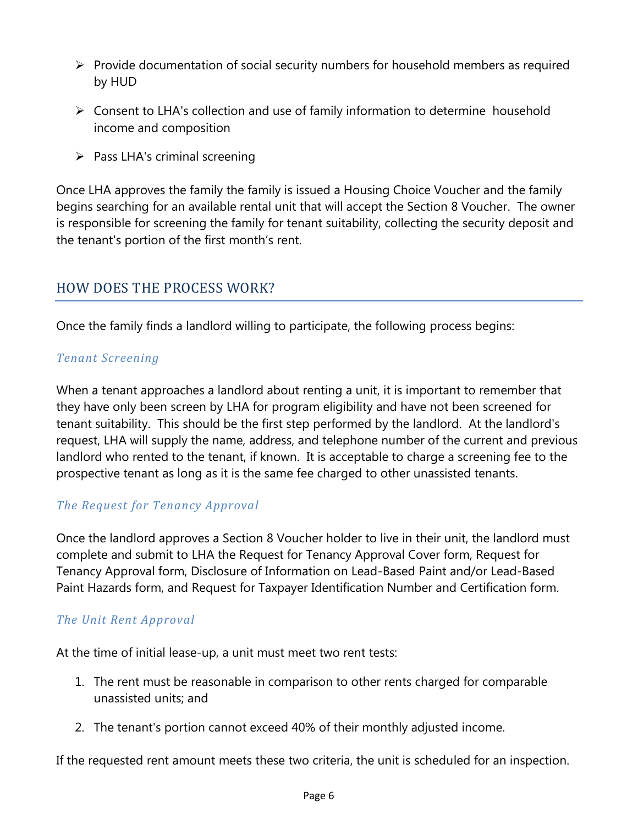- $\triangleright$  Provide documentation of social security numbers for household members as required by HUD
- $\triangleright$  Consent to LHA's collection and use of family information to determine household income and composition
- <span id="page-5-0"></span> $\triangleright$  Pass LHA's criminal screening

Once LHA approves the family the family is issued a Housing Choice Voucher and the family begins searching for an available rental unit that will accept the Section 8 Voucher. The owner is responsible for screening the family for tenant suitability, collecting the security deposit and the tenant's portion of the first month's rent.

## HOW DOES THE PROCESS WORK?

Once the family finds a landlord willing to participate, the following process begins:

#### *Tenant Screening*

When a tenant approaches a landlord about renting a unit, it is important to remember that they have only been screen by LHA for program eligibility and have not been screened for tenant suitability. This should be the first step performed by the landlord. At the landlord's request, LHA will supply the name, address, and telephone number of the current and previous landlord who rented to the tenant, if known. It is acceptable to charge a screening fee to the prospective tenant as long as it is the same fee charged to other unassisted tenants.

#### *The Request for Tenancy Approval*

Once the landlord approves a Section 8 Voucher holder to live in their unit, the landlord must complete and submit to LHA the Request for Tenancy Approval Cover form, Request for Tenancy Approval form, Disclosure of Information on Lead-Based Paint and/or Lead-Based Paint Hazards form, and Request for Taxpayer Identification Number and Certification form.

## *The Unit Rent Approval*

At the time of initial lease-up, a unit must meet two rent tests:

- 1. The rent must be reasonable in comparison to other rents charged for comparable unassisted units; and
- 2. The tenant's portion cannot exceed 40% of their monthly adjusted income.

If the requested rent amount meets these two criteria, the unit is scheduled for an inspection.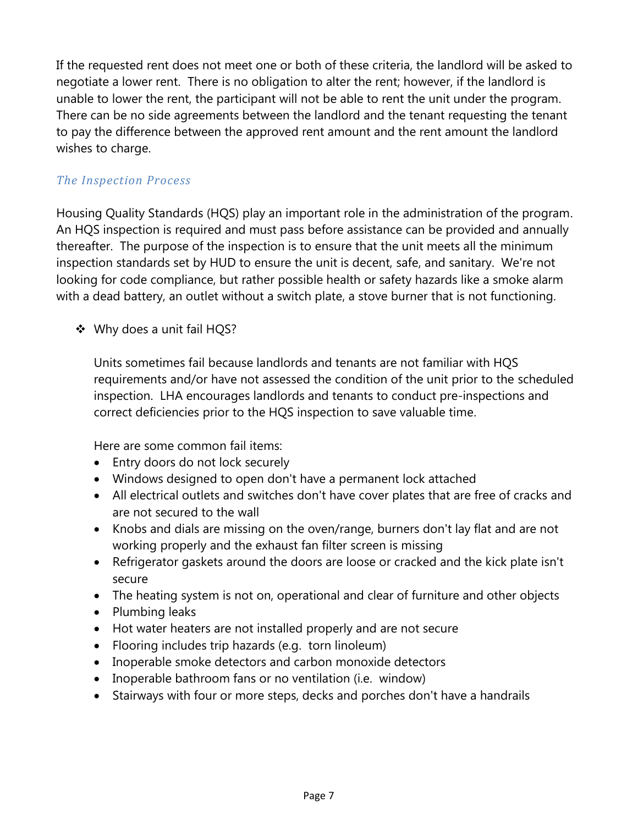If the requested rent does not meet one or both of these criteria, the landlord will be asked to negotiate a lower rent. There is no obligation to alter the rent; however, if the landlord is unable to lower the rent, the participant will not be able to rent the unit under the program. There can be no side agreements between the landlord and the tenant requesting the tenant to pay the difference between the approved rent amount and the rent amount the landlord wishes to charge.

#### *The Inspection Process*

Housing Quality Standards (HQS) play an important role in the administration of the program. An HQS inspection is required and must pass before assistance can be provided and annually thereafter. The purpose of the inspection is to ensure that the unit meets all the minimum inspection standards set by HUD to ensure the unit is decent, safe, and sanitary. We're not looking for code compliance, but rather possible health or safety hazards like a smoke alarm with a dead battery, an outlet without a switch plate, a stove burner that is not functioning.

❖ Why does a unit fail HQS?

Units sometimes fail because landlords and tenants are not familiar with HQS requirements and/or have not assessed the condition of the unit prior to the scheduled inspection. LHA encourages landlords and tenants to conduct pre-inspections and correct deficiencies prior to the HQS inspection to save valuable time.

Here are some common fail items:

- Entry doors do not lock securely
- Windows designed to open don't have a permanent lock attached
- All electrical outlets and switches don't have cover plates that are free of cracks and are not secured to the wall
- Knobs and dials are missing on the oven/range, burners don't lay flat and are not working properly and the exhaust fan filter screen is missing
- Refrigerator gaskets around the doors are loose or cracked and the kick plate isn't secure
- The heating system is not on, operational and clear of furniture and other objects
- Plumbing leaks
- Hot water heaters are not installed properly and are not secure
- Flooring includes trip hazards (e.g. torn linoleum)
- Inoperable smoke detectors and carbon monoxide detectors
- Inoperable bathroom fans or no ventilation (i.e. window)
- <span id="page-6-0"></span>Stairways with four or more steps, decks and porches don't have a handrails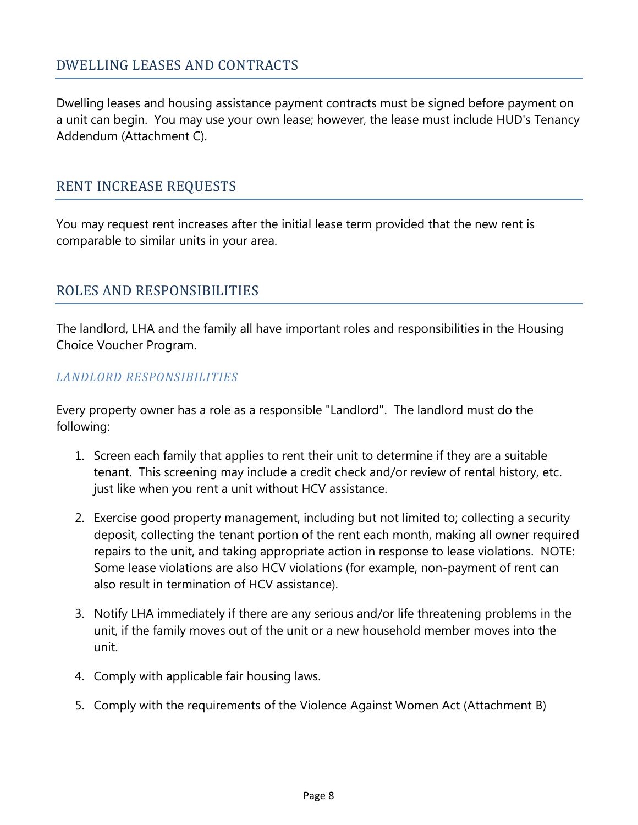## DWELLING LEASES AND CONTRACTS

Dwelling leases and housing assistance payment contracts must be signed before payment on a unit can begin. You may use your own lease; however, the lease must include HUD's Tenancy Addendum (Attachment C).

#### <span id="page-7-0"></span>RENT INCREASE REQUESTS

You may request rent increases after the *initial lease term* provided that the new rent is comparable to similar units in your area.

## <span id="page-7-1"></span>ROLES AND RESPONSIBILITIES

The landlord, LHA and the family all have important roles and responsibilities in the Housing Choice Voucher Program.

#### *LANDLORD RESPONSIBILITIES*

Every property owner has a role as a responsible "Landlord". The landlord must do the following:

- 1. Screen each family that applies to rent their unit to determine if they are a suitable tenant. This screening may include a credit check and/or review of rental history, etc. just like when you rent a unit without HCV assistance.
- 2. Exercise good property management, including but not limited to; collecting a security deposit, collecting the tenant portion of the rent each month, making all owner required repairs to the unit, and taking appropriate action in response to lease violations. NOTE: Some lease violations are also HCV violations (for example, non-payment of rent can also result in termination of HCV assistance).
- 3. Notify LHA immediately if there are any serious and/or life threatening problems in the unit, if the family moves out of the unit or a new household member moves into the unit.
- 4. Comply with applicable fair housing laws.
- 5. Comply with the requirements of the Violence Against Women Act (Attachment B)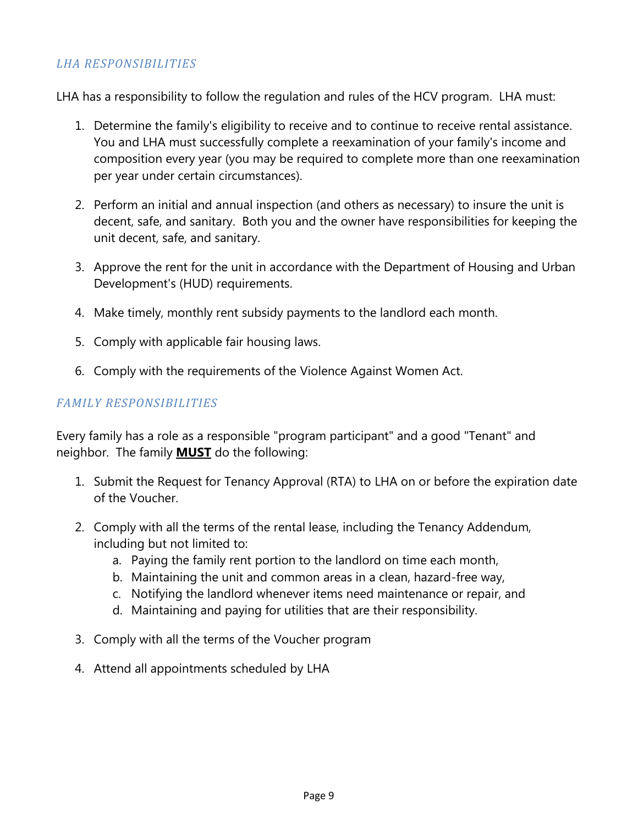#### *LHA RESPONSIBILITIES*

LHA has a responsibility to follow the regulation and rules of the HCV program. LHA must:

- 1. Determine the family's eligibility to receive and to continue to receive rental assistance. You and LHA must successfully complete a reexamination of your family's income and composition every year (you may be required to complete more than one reexamination per year under certain circumstances).
- 2. Perform an initial and annual inspection (and others as necessary) to insure the unit is decent, safe, and sanitary. Both you and the owner have responsibilities for keeping the unit decent, safe, and sanitary.
- 3. Approve the rent for the unit in accordance with the Department of Housing and Urban Development's (HUD) requirements.
- 4. Make timely, monthly rent subsidy payments to the landlord each month.
- 5. Comply with applicable fair housing laws.
- 6. Comply with the requirements of the Violence Against Women Act.

#### *FAMILY RESPONSIBILITIES*

Every family has a role as a responsible "program participant" and a good "Tenant" and neighbor. The family **MUST** do the following:

- 1. Submit the Request for Tenancy Approval (RTA) to LHA on or before the expiration date of the Voucher.
- 2. Comply with all the terms of the rental lease, including the Tenancy Addendum, including but not limited to:
	- a. Paying the family rent portion to the landlord on time each month,
	- b. Maintaining the unit and common areas in a clean, hazard-free way,
	- c. Notifying the landlord whenever items need maintenance or repair, and
	- d. Maintaining and paying for utilities that are their responsibility.
- 3. Comply with all the terms of the Voucher program
- 4. Attend all appointments scheduled by LHA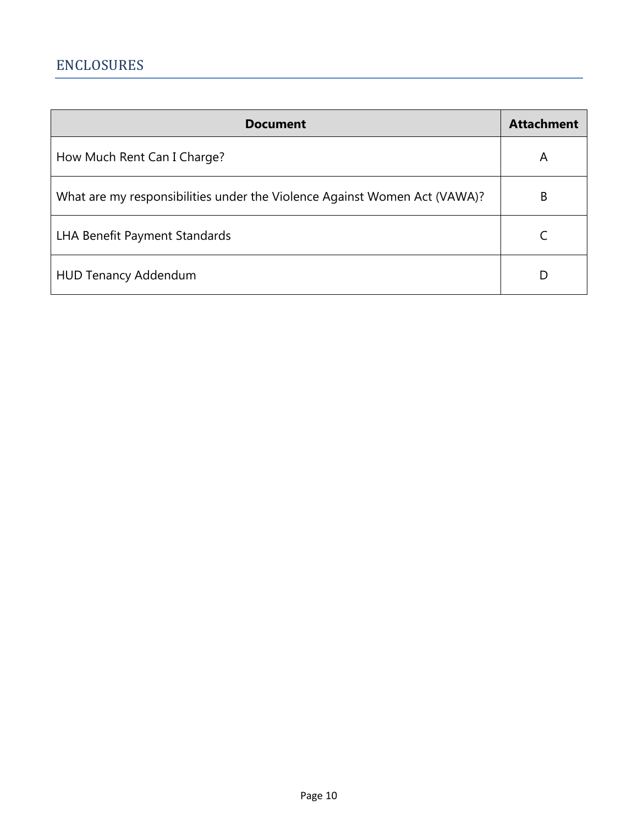<span id="page-9-0"></span>

| <b>Document</b>                                                           | <b>Attachment</b> |
|---------------------------------------------------------------------------|-------------------|
| How Much Rent Can I Charge?                                               | A                 |
| What are my responsibilities under the Violence Against Women Act (VAWA)? | B                 |
| LHA Benefit Payment Standards                                             |                   |
| <b>HUD Tenancy Addendum</b>                                               | D                 |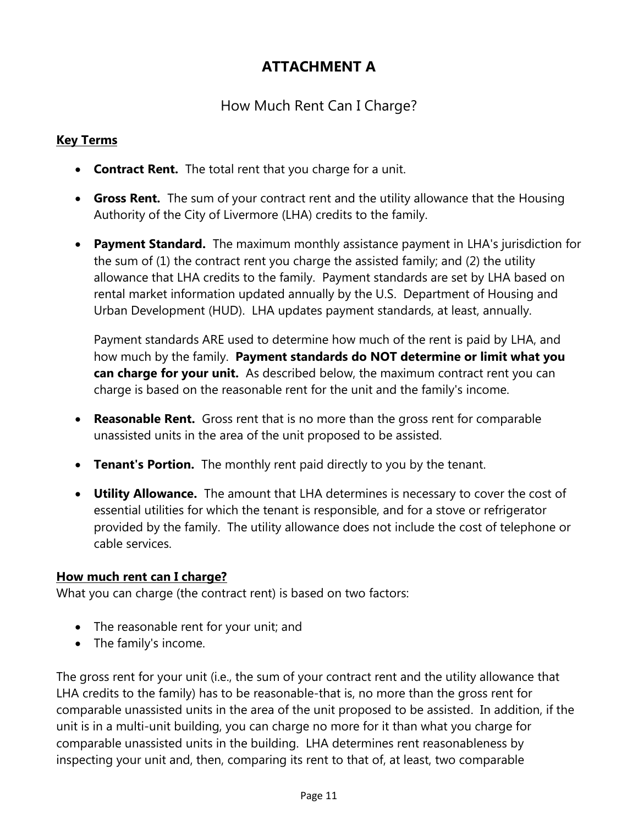## **ATTACHMENT A**

## How Much Rent Can I Charge?

## **Key Terms**

- **Contract Rent.** The total rent that you charge for a unit.
- **Gross Rent.** The sum of your contract rent and the utility allowance that the Housing Authority of the City of Livermore (LHA) credits to the family.
- **Payment Standard.** The maximum monthly assistance payment in LHA's jurisdiction for the sum of (1) the contract rent you charge the assisted family; and (2) the utility allowance that LHA credits to the family. Payment standards are set by LHA based on rental market information updated annually by the U.S. Department of Housing and Urban Development (HUD). LHA updates payment standards, at least, annually.

Payment standards ARE used to determine how much of the rent is paid by LHA, and how much by the family. **Payment standards do NOT determine or limit what you can charge for your unit.** As described below, the maximum contract rent you can charge is based on the reasonable rent for the unit and the family's income.

- **Reasonable Rent.** Gross rent that is no more than the gross rent for comparable unassisted units in the area of the unit proposed to be assisted.
- **Tenant's Portion.** The monthly rent paid directly to you by the tenant.
- **Utility Allowance.** The amount that LHA determines is necessary to cover the cost of essential utilities for which the tenant is responsible, and for a stove or refrigerator provided by the family. The utility allowance does not include the cost of telephone or cable services.

#### **How much rent can I charge?**

What you can charge (the contract rent) is based on two factors:

- The reasonable rent for your unit; and
- The family's income.

The gross rent for your unit (i.e., the sum of your contract rent and the utility allowance that LHA credits to the family) has to be reasonable-that is, no more than the gross rent for comparable unassisted units in the area of the unit proposed to be assisted. In addition, if the unit is in a multi-unit building, you can charge no more for it than what you charge for comparable unassisted units in the building. LHA determines rent reasonableness by inspecting your unit and, then, comparing its rent to that of, at least, two comparable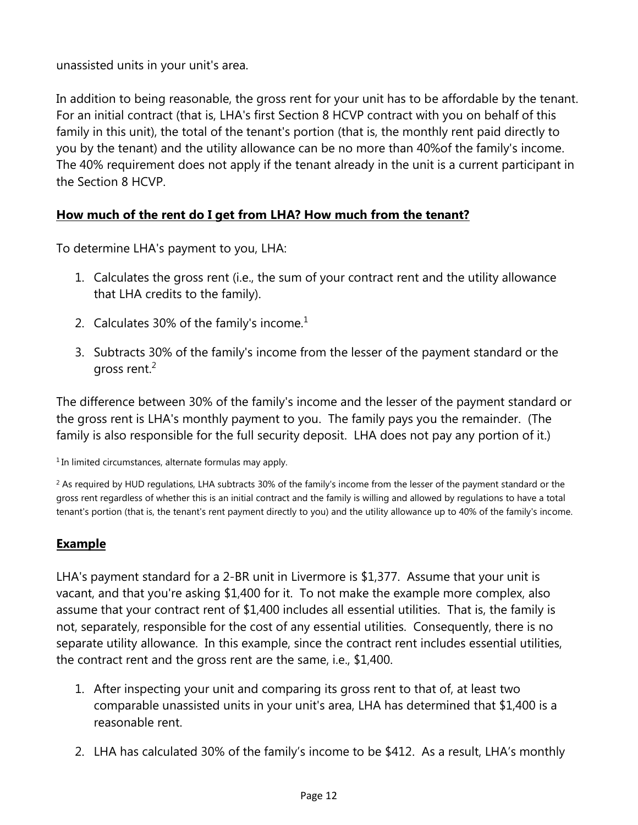unassisted units in your unit's area.

In addition to being reasonable, the gross rent for your unit has to be affordable by the tenant. For an initial contract (that is, LHA's first Section 8 HCVP contract with you on behalf of this family in this unit), the total of the tenant's portion (that is, the monthly rent paid directly to you by the tenant) and the utility allowance can be no more than 40%of the family's income. The 40% requirement does not apply if the tenant already in the unit is a current participant in the Section 8 HCVP.

#### **How much of the rent do I get from LHA? How much from the tenant?**

To determine LHA's payment to you, LHA:

- 1. Calculates the gross rent (i.e., the sum of your contract rent and the utility allowance that LHA credits to the family).
- 2. Calculates 30% of the family's income. $<sup>1</sup>$ </sup>
- 3. Subtracts 30% of the family's income from the lesser of the payment standard or the gross rent.<sup>2</sup>

The difference between 30% of the family's income and the lesser of the payment standard or the gross rent is LHA's monthly payment to you. The family pays you the remainder. (The family is also responsible for the full security deposit. LHA does not pay any portion of it.)

<sup>1</sup> In limited circumstances, alternate formulas may apply.

 $2$  As required by HUD requlations, LHA subtracts 30% of the family's income from the lesser of the payment standard or the gross rent regardless of whether this is an initial contract and the family is willing and allowed by regulations to have a total tenant's portion (that is, the tenant's rent payment directly to you) and the utility allowance up to 40% of the family's income.

#### **Example**

LHA's payment standard for a 2-BR unit in Livermore is \$1,377. Assume that your unit is vacant, and that you're asking \$1,400 for it. To not make the example more complex, also assume that your contract rent of \$1,400 includes all essential utilities. That is, the family is not, separately, responsible for the cost of any essential utilities. Consequently, there is no separate utility allowance. In this example, since the contract rent includes essential utilities, the contract rent and the gross rent are the same, i.e., \$1,400.

- 1. After inspecting your unit and comparing its gross rent to that of, at least two comparable unassisted units in your unit's area, LHA has determined that \$1,400 is a reasonable rent.
- 2. LHA has calculated 30% of the family's income to be \$412. As a result, LHA's monthly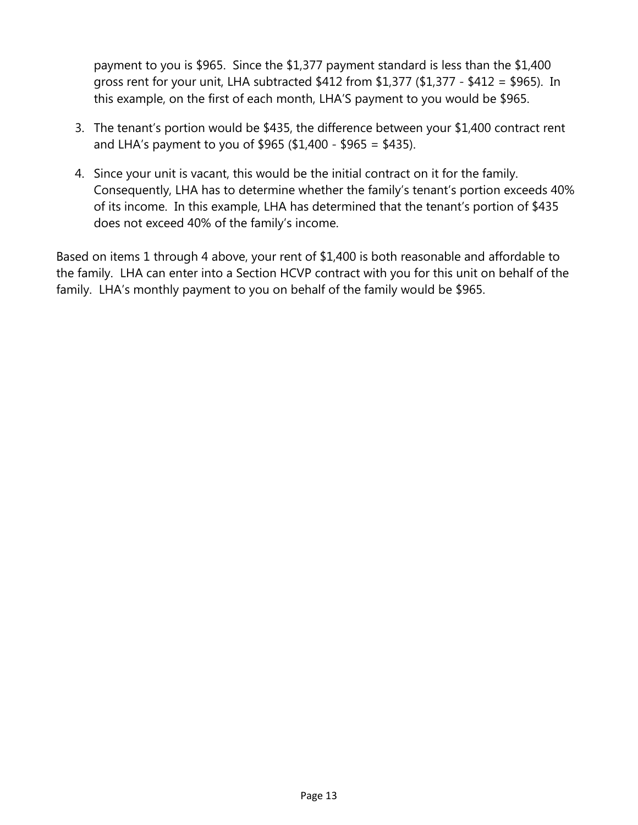payment to you is \$965. Since the \$1,377 payment standard is less than the \$1,400 gross rent for your unit, LHA subtracted \$412 from \$1,377 (\$1,377 - \$412 = \$965). In this example, on the first of each month, LHA'S payment to you would be \$965.

- 3. The tenant's portion would be \$435, the difference between your \$1,400 contract rent and LHA's payment to you of \$965 (\$1,400 - \$965 = \$435).
- 4. Since your unit is vacant, this would be the initial contract on it for the family. Consequently, LHA has to determine whether the family's tenant's portion exceeds 40% of its income. In this example, LHA has determined that the tenant's portion of \$435 does not exceed 40% of the family's income.

Based on items 1 through 4 above, your rent of \$1,400 is both reasonable and affordable to the family. LHA can enter into a Section HCVP contract with you for this unit on behalf of the family. LHA's monthly payment to you on behalf of the family would be \$965.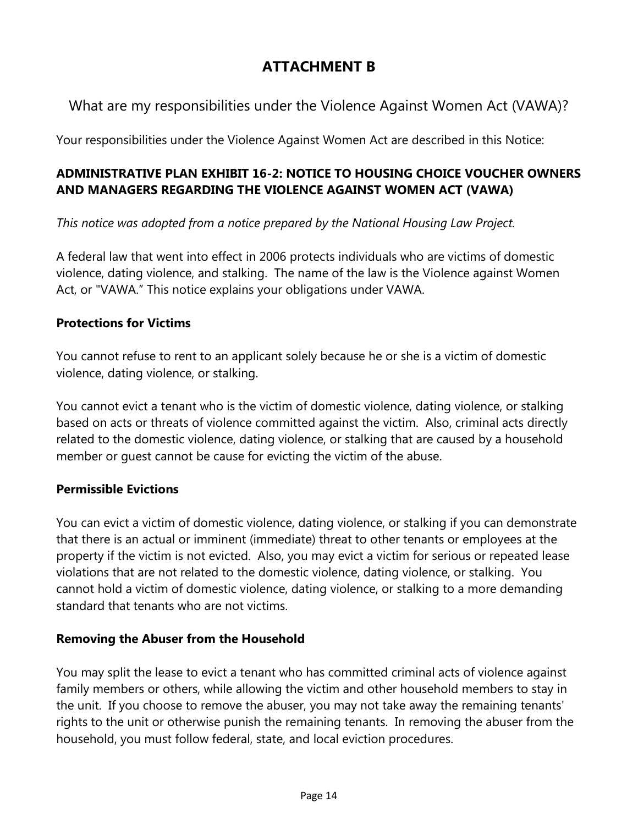## **ATTACHMENT B**

## What are my responsibilities under the Violence Against Women Act (VAWA)?

Your responsibilities under the Violence Against Women Act are described in this Notice:

## **ADMINISTRATIVE PLAN EXHIBIT 16-2: NOTICE TO HOUSING CHOICE VOUCHER OWNERS AND MANAGERS REGARDING THE VIOLENCE AGAINST WOMEN ACT (VAWA)**

*This notice was adopted from a notice prepared by the National Housing Law Project.*

A federal law that went into effect in 2006 protects individuals who are victims of domestic violence, dating violence, and stalking. The name of the law is the Violence against Women Act, or "VAWA." This notice explains your obligations under VAWA.

## **Protections for Victims**

You cannot refuse to rent to an applicant solely because he or she is a victim of domestic violence, dating violence, or stalking.

You cannot evict a tenant who is the victim of domestic violence, dating violence, or stalking based on acts or threats of violence committed against the victim. Also, criminal acts directly related to the domestic violence, dating violence, or stalking that are caused by a household member or guest cannot be cause for evicting the victim of the abuse.

## **Permissible Evictions**

You can evict a victim of domestic violence, dating violence, or stalking if you can demonstrate that there is an actual or imminent (immediate) threat to other tenants or employees at the property if the victim is not evicted. Also, you may evict a victim for serious or repeated lease violations that are not related to the domestic violence, dating violence, or stalking. You cannot hold a victim of domestic violence, dating violence, or stalking to a more demanding standard that tenants who are not victims.

## **Removing the Abuser from the Household**

You may split the lease to evict a tenant who has committed criminal acts of violence against family members or others, while allowing the victim and other household members to stay in the unit. If you choose to remove the abuser, you may not take away the remaining tenants' rights to the unit or otherwise punish the remaining tenants. In removing the abuser from the household, you must follow federal, state, and local eviction procedures.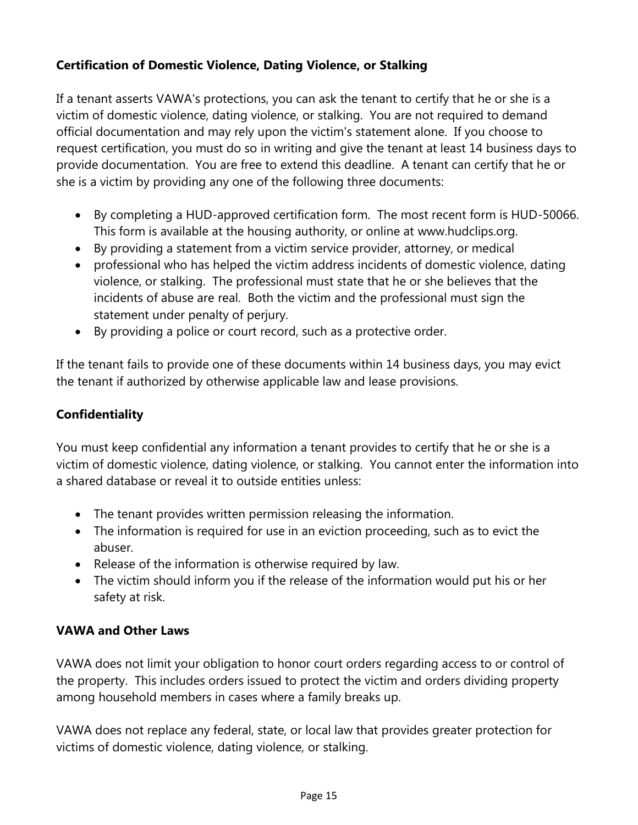## **Certification of Domestic Violence, Dating Violence, or Stalking**

If a tenant asserts VAWA's protections, you can ask the tenant to certify that he or she is a victim of domestic violence, dating violence, or stalking. You are not required to demand official documentation and may rely upon the victim's statement alone. If you choose to request certification, you must do so in writing and give the tenant at least 14 business days to provide documentation. You are free to extend this deadline. A tenant can certify that he or she is a victim by providing any one of the following three documents:

- By completing a HUD-approved certification form. The most recent form is HUD-50066. This form is available at the housing authority, or online at [www.hudclips.org.](http://www.hudclips.org/)
- By providing a statement from a victim service provider, attorney, or medical
- professional who has helped the victim address incidents of domestic violence, dating violence, or stalking. The professional must state that he or she believes that the incidents of abuse are real. Both the victim and the professional must sign the statement under penalty of perjury.
- By providing a police or court record, such as a protective order.

If the tenant fails to provide one of these documents within 14 business days, you may evict the tenant if authorized by otherwise applicable law and lease provisions.

## **Confidentiality**

You must keep confidential any information a tenant provides to certify that he or she is a victim of domestic violence, dating violence, or stalking. You cannot enter the information into a shared database or reveal it to outside entities unless:

- The tenant provides written permission releasing the information.
- The information is required for use in an eviction proceeding, such as to evict the abuser.
- Release of the information is otherwise required by law.
- The victim should inform you if the release of the information would put his or her safety at risk.

## **VAWA and Other Laws**

VAWA does not limit your obligation to honor court orders regarding access to or control of the property. This includes orders issued to protect the victim and orders dividing property among household members in cases where a family breaks up.

VAWA does not replace any federal, state, or local law that provides greater protection for victims of domestic violence, dating violence, or stalking.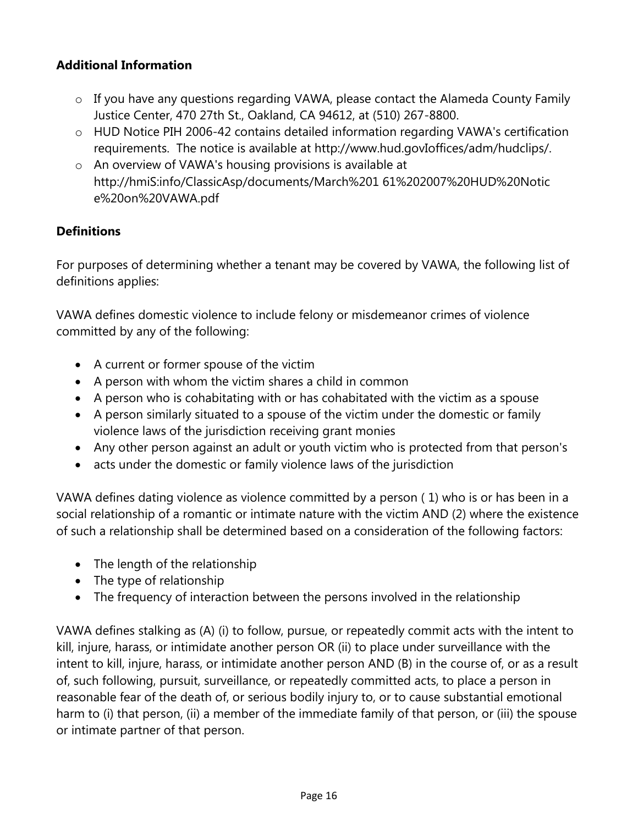#### **Additional Information**

- o If you have any questions regarding VAWA, please contact the Alameda County Family Justice Center, 470 27th St., Oakland, CA 94612, at (510) 267-8800.
- o HUD Notice PIH 2006-42 contains detailed information regarding VAWA's certification requirements. The notice is available at [http://www.hud.govIoffices/adm/hudclips/.](http://www.hud.govioffices/adm/hudclips/)
- o An overview of VAWA's housing provisions is available at http://hmiS:info/ClassicAsp/documents/March%201 61%202007%20HUD%20Notic e%20on%20VAWA.pdf

#### **Definitions**

For purposes of determining whether a tenant may be covered by VAWA, the following list of definitions applies:

VAWA defines domestic violence to include felony or misdemeanor crimes of violence committed by any of the following:

- A current or former spouse of the victim
- A person with whom the victim shares a child in common
- A person who is cohabitating with or has cohabitated with the victim as a spouse
- A person similarly situated to a spouse of the victim under the domestic or family violence laws of the jurisdiction receiving grant monies
- Any other person against an adult or youth victim who is protected from that person's
- acts under the domestic or family violence laws of the jurisdiction

VAWA defines dating violence as violence committed by a person ( 1) who is or has been in a social relationship of a romantic or intimate nature with the victim AND (2) where the existence of such a relationship shall be determined based on a consideration of the following factors:

- The length of the relationship
- The type of relationship
- The frequency of interaction between the persons involved in the relationship

VAWA defines stalking as (A) (i) to follow, pursue, or repeatedly commit acts with the intent to kill, injure, harass, or intimidate another person OR (ii) to place under surveillance with the intent to kill, injure, harass, or intimidate another person AND (B) in the course of, or as a result of, such following, pursuit, surveillance, or repeatedly committed acts, to place a person in reasonable fear of the death of, or serious bodily injury to, or to cause substantial emotional harm to (i) that person, (ii) a member of the immediate family of that person, or (iii) the spouse or intimate partner of that person.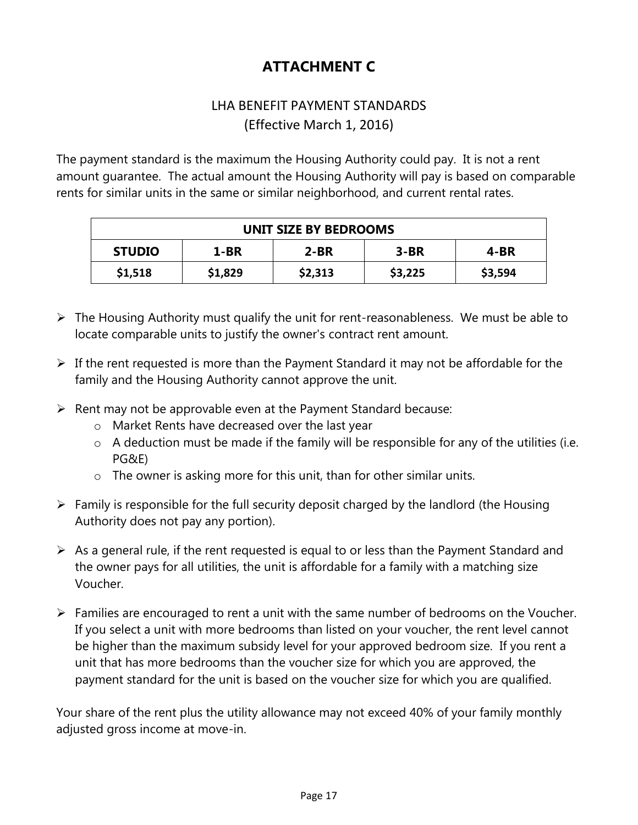## **ATTACHMENT C**

## LHA BENEFIT PAYMENT STANDARDS (Effective March 1, 2016)

The payment standard is the maximum the Housing Authority could pay. It is not a rent amount guarantee. The actual amount the Housing Authority will pay is based on comparable rents for similar units in the same or similar neighborhood, and current rental rates.

| <b>UNIT SIZE BY BEDROOMS</b> |         |         |         |         |  |
|------------------------------|---------|---------|---------|---------|--|
| <b>STUDIO</b>                | $1-BR$  | $2-BR$  | $3-BR$  | $4-BR$  |  |
| \$1,518                      | \$1,829 | \$2,313 | \$3,225 | \$3,594 |  |

- $\triangleright$  The Housing Authority must qualify the unit for rent-reasonableness. We must be able to locate comparable units to justify the owner's contract rent amount.
- $\triangleright$  If the rent requested is more than the Payment Standard it may not be affordable for the family and the Housing Authority cannot approve the unit.
- $\triangleright$  Rent may not be approvable even at the Payment Standard because:
	- o Market Rents have decreased over the last year
	- $\circ$  A deduction must be made if the family will be responsible for any of the utilities (i.e. PG&E)
	- o The owner is asking more for this unit, than for other similar units.
- $\triangleright$  Family is responsible for the full security deposit charged by the landlord (the Housing Authority does not pay any portion).
- $\triangleright$  As a general rule, if the rent requested is equal to or less than the Payment Standard and the owner pays for all utilities, the unit is affordable for a family with a matching size Voucher.
- $\triangleright$  Families are encouraged to rent a unit with the same number of bedrooms on the Voucher. If you select a unit with more bedrooms than listed on your voucher, the rent level cannot be higher than the maximum subsidy level for your approved bedroom size. If you rent a unit that has more bedrooms than the voucher size for which you are approved, the payment standard for the unit is based on the voucher size for which you are qualified.

Your share of the rent plus the utility allowance may not exceed 40% of your family monthly adjusted gross income at move-in.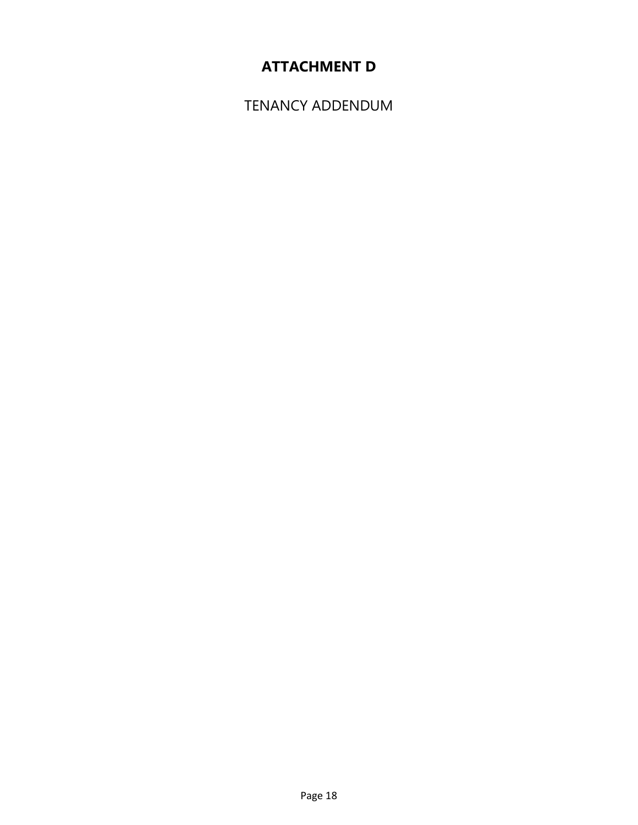## **ATTACHMENT D**

TENANCY ADDENDUM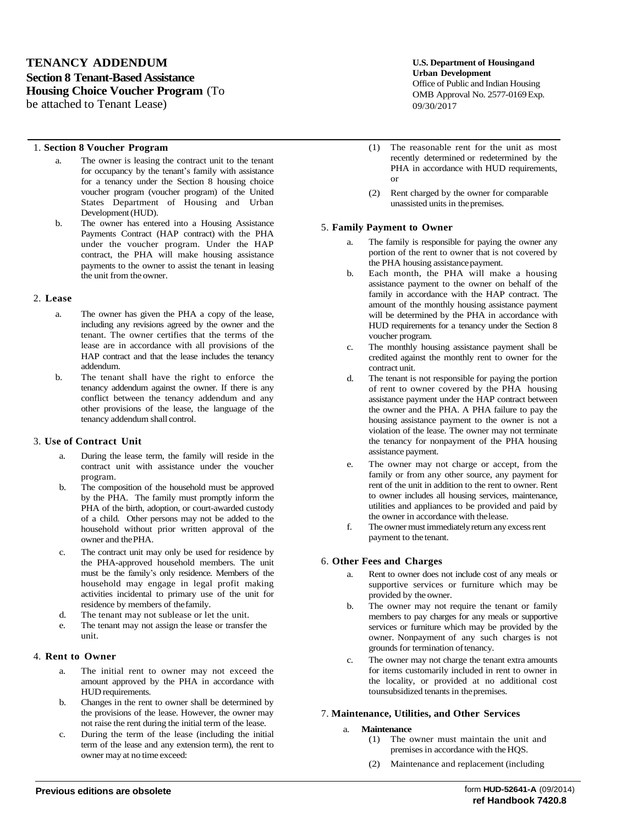#### **TENANCY ADDENDUM Section 8 Tenant-Based Assistance Housing Choice Voucher Program** (To be attached to Tenant Lease)

#### 1. **Section 8 Voucher Program**

- a. The owner is leasing the contract unit to the tenant for occupancy by the tenant's family with assistance for a tenancy under the Section 8 housing choice voucher program (voucher program) of the United States Department of Housing and Urban Development (HUD).
- b. The owner has entered into a Housing Assistance Payments Contract (HAP contract) with the PHA under the voucher program. Under the HAP contract, the PHA will make housing assistance payments to the owner to assist the tenant in leasing the unit from the owner.

#### 2. **Lease**

- a. The owner has given the PHA a copy of the lease, including any revisions agreed by the owner and the tenant. The owner certifies that the terms of the lease are in accordance with all provisions of the HAP contract and that the lease includes the tenancy addendum.
- b. The tenant shall have the right to enforce the tenancy addendum against the owner. If there is any conflict between the tenancy addendum and any other provisions of the lease, the language of the tenancy addendum shall control.

#### 3. **Use of Contract Unit**

- a. During the lease term, the family will reside in the contract unit with assistance under the voucher program.
- b. The composition of the household must be approved by the PHA. The family must promptly inform the PHA of the birth, adoption, or court-awarded custody of a child. Other persons may not be added to the household without prior written approval of the owner and thePHA.
- c. The contract unit may only be used for residence by the PHA-approved household members. The unit must be the family's only residence. Members of the household may engage in legal profit making activities incidental to primary use of the unit for residence by members of thefamily.
- d. The tenant may not sublease or let the unit.
- e. The tenant may not assign the lease or transfer the unit.

#### 4. **Rent to Owner**

- a. The initial rent to owner may not exceed the amount approved by the PHA in accordance with HUD requirements.
- b. Changes in the rent to owner shall be determined by the provisions of the lease. However, the owner may not raise the rent during the initial term of the lease.
- c. During the term of the lease (including the initial term of the lease and any extension term), the rent to owner may at no time exceed:

**U.S. Department of Housingand Urban Development** Office of Public and Indian Housing OMB Approval No. 2577-0169 Exp. 09/30/2017

- (1) The reasonable rent for the unit as most recently determined or redetermined by the PHA in accordance with HUD requirements, or
- (2) Rent charged by the owner for comparable unassisted units in thepremises.

#### 5. **Family Payment to Owner**

- The family is responsible for paying the owner any portion of the rent to owner that is not covered by the PHA housing assistance payment.
- b. Each month, the PHA will make a housing assistance payment to the owner on behalf of the family in accordance with the HAP contract. The amount of the monthly housing assistance payment will be determined by the PHA in accordance with HUD requirements for a tenancy under the Section 8 voucher program.
- c. The monthly housing assistance payment shall be credited against the monthly rent to owner for the contract unit.
- d. The tenant is not responsible for paying the portion of rent to owner covered by the PHA housing assistance payment under the HAP contract between the owner and the PHA. A PHA failure to pay the housing assistance payment to the owner is not a violation of the lease. The owner may not terminate the tenancy for nonpayment of the PHA housing assistance payment.
- e. The owner may not charge or accept, from the family or from any other source, any payment for rent of the unit in addition to the rent to owner. Rent to owner includes all housing services, maintenance, utilities and appliances to be provided and paid by the owner in accordance with thelease.
- f. The owner must immediatelyreturn any excessrent payment to the tenant.

#### 6. **Other Fees and Charges**

- a. Rent to owner does not include cost of any meals or supportive services or furniture which may be provided by the owner.
- b. The owner may not require the tenant or family members to pay charges for any meals or supportive services or furniture which may be provided by the owner. Nonpayment of any such charges is not grounds for termination oftenancy.
- c. The owner may not charge the tenant extra amounts for items customarily included in rent to owner in the locality, or provided at no additional cost tounsubsidized tenants in thepremises.

#### 7. **Maintenance, Utilities, and Other Services**

#### a. **Maintenance**

- (1) The owner must maintain the unit and premises in accordance with theHQS.
- (2) Maintenance and replacement (including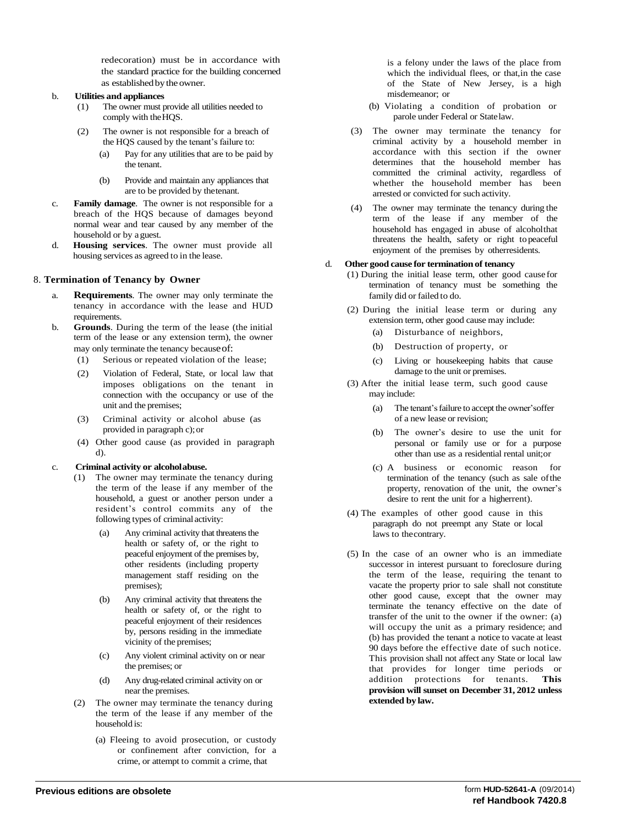redecoration) must be in accordance with the standard practice for the building concerned as established by the owner.

#### b. **Utilities and appliances**

- (1) The owner must provide all utilities needed to comply with theHQS.
- (2) The owner is not responsible for a breach of the HQS caused by the tenant's failure to:
	- (a) Pay for any utilities that are to be paid by the tenant.
	- (b) Provide and maintain any appliances that are to be provided by thetenant.
- c. **Family damage**. The owner is not responsible for a breach of the HQS because of damages beyond normal wear and tear caused by any member of the household or by aguest.
- d. **Housing services**. The owner must provide all housing services as agreed to in the lease.

#### 8. **Termination of Tenancy by Owner**

- a. **Requirements**. The owner may only terminate the tenancy in accordance with the lease and HUD requirements.
- b. **Grounds**. During the term of the lease (the initial term of the lease or any extension term), the owner may only terminate the tenancy becauseof:
	- (1) Serious or repeated violation of the lease;
	- (2) Violation of Federal, State, or local law that imposes obligations on the tenant in connection with the occupancy or use of the unit and the premises;
	- (3) Criminal activity or alcohol abuse (as provided in paragraph c);or
	- (4) Other good cause (as provided in paragraph d).

#### c. **Criminal activity or alcoholabuse.**

- (1) The owner may terminate the tenancy during the term of the lease if any member of the household, a guest or another person under a resident's control commits any of the following types of criminalactivity:
	- Any criminal activity that threatens the health or safety of, or the right to peaceful enjoyment of the premises by, other residents (including property management staff residing on the premises);
	- (b) Any criminal activity that threatens the health or safety of, or the right to peaceful enjoyment of their residences by, persons residing in the immediate vicinity of the premises;
	- (c) Any violent criminal activity on or near the premises; or
	- (d) Any drug-related criminal activity on or near the premises.
- (2) The owner may terminate the tenancy during the term of the lease if any member of the household is:
	- (a) Fleeing to avoid prosecution, or custody or confinement after conviction, for a crime, or attempt to commit a crime, that

is a felony under the laws of the place from which the individual flees, or that,in the case of the State of New Jersey, is a high misdemeanor; or

- (b) Violating a condition of probation or parole under Federal or Statelaw.
- (3) The owner may terminate the tenancy for criminal activity by a household member in accordance with this section if the owner determines that the household member has committed the criminal activity, regardless of whether the household member has been arrested or convicted for such activity.
- (4) The owner may terminate the tenancy during the term of the lease if any member of the household has engaged in abuse of alcoholthat threatens the health, safety or right topeaceful enjoyment of the premises by otherresidents.

#### d. **Other good cause for terminationof tenancy**

- (1) During the initial lease term, other good cause for termination of tenancy must be something the family did or failed to do.
- (2) During the initial lease term or during any extension term, other good cause may include:
	- (a) Disturbance of neighbors,
	- (b) Destruction of property, or
	- (c) Living or housekeeping habits that cause damage to the unit or premises.
- (3) After the initial lease term, such good cause may include:
	- (a) The tenant'sfailure to accept the owner'soffer of a new lease or revision;
	- (b) The owner's desire to use the unit for personal or family use or for a purpose other than use as a residential rental unit;or
	- (c) A business or economic reason for termination of the tenancy (such as sale ofthe property, renovation of the unit, the owner's desire to rent the unit for a higherrent).
- (4) The examples of other good cause in this paragraph do not preempt any State or local laws to thecontrary.
- (5) In the case of an owner who is an immediate successor in interest pursuant to foreclosure during the term of the lease, requiring the tenant to vacate the property prior to sale shall not constitute other good cause, except that the owner may terminate the tenancy effective on the date of transfer of the unit to the owner if the owner: (a) will occupy the unit as a primary residence; and (b) has provided the tenant a notice to vacate at least 90 days before the effective date of such notice. This provision shall not affect any State or local law that provides for longer time periods or addition protections for tenants. **This provision will sunset on December 31, 2012 unless extended by law.**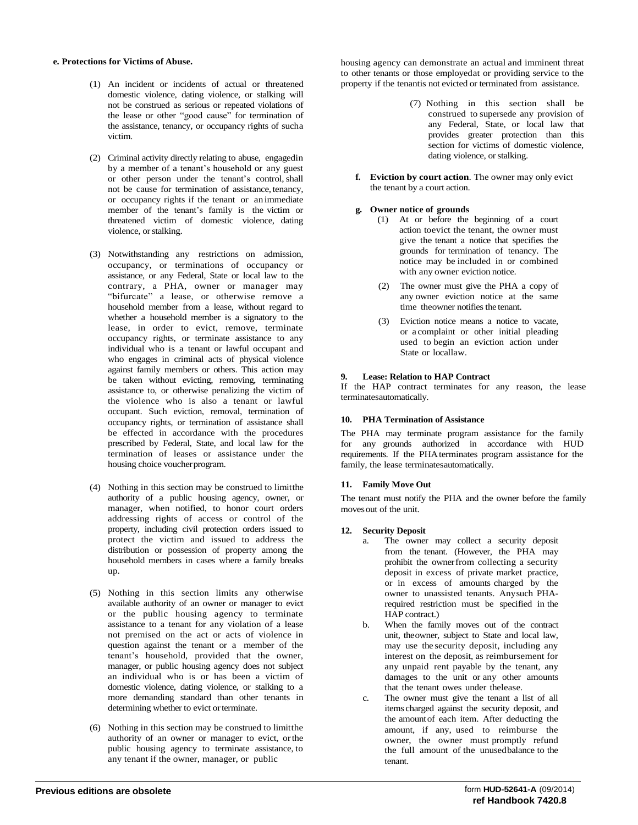#### **e. Protections for Victims of Abuse.**

- (1) An incident or incidents of actual or threatened domestic violence, dating violence, or stalking will not be construed as serious or repeated violations of the lease or other "good cause" for termination of the assistance, tenancy, or occupancy rights of sucha victim.
- (2) Criminal activity directly relating to abuse, engagedin by a member of a tenant's household or any guest or other person under the tenant's control,shall not be cause for termination of assistance, tenancy, or occupancy rights if the tenant or an immediate member of the tenant's family is the victim or threatened victim of domestic violence, dating violence, or stalking.
- (3) Notwithstanding any restrictions on admission, occupancy, or terminations of occupancy or assistance, or any Federal, State or local law to the contrary, a PHA, owner or manager may "bifurcate" a lease, or otherwise remove a household member from a lease, without regard to whether a household member is a signatory to the lease, in order to evict, remove, terminate occupancy rights, or terminate assistance to any individual who is a tenant or lawful occupant and who engages in criminal acts of physical violence against family members or others. This action may be taken without evicting, removing, terminating assistance to, or otherwise penalizing the victim of the violence who is also a tenant or lawful occupant. Such eviction, removal, termination of occupancy rights, or termination of assistance shall be effected in accordance with the procedures prescribed by Federal, State, and local law for the termination of leases or assistance under the housing choice voucher program.
- (4) Nothing in this section may be construed to limitthe authority of a public housing agency, owner, or manager, when notified, to honor court orders addressing rights of access or control of the property, including civil protection orders issued to protect the victim and issued to address the distribution or possession of property among the household members in cases where a family breaks up.
- (5) Nothing in this section limits any otherwise available authority of an owner or manager to evict or the public housing agency to terminate assistance to a tenant for any violation of a lease not premised on the act or acts of violence in question against the tenant or a member of the tenant's household, provided that the owner, manager, or public housing agency does not subject an individual who is or has been a victim of domestic violence, dating violence, or stalking to a more demanding standard than other tenants in determining whether to evict or terminate.
- (6) Nothing in this section may be construed to limitthe authority of an owner or manager to evict, orthe public housing agency to terminate assistance, to any tenant if the owner, manager, or public

housing agency can demonstrate an actual and imminent threat to other tenants or those employedat or providing service to the property if the tenantis not evicted or terminated from assistance.

- (7) Nothing in this section shall be construed to supersede any provision of any Federal, State, or local law that provides greater protection than this section for victims of domestic violence, dating violence, or stalking.
- **f. Eviction by court action**. The owner may only evict the tenant by a court action.
- **g. Owner notice of grounds**
	- (1) At or before the beginning of a court action toevict the tenant, the owner must give the tenant a notice that specifies the grounds for termination of tenancy. The notice may be included in or combined with any owner eviction notice.
	- (2) The owner must give the PHA a copy of any owner eviction notice at the same time theowner notifies the tenant.
	- (3) Eviction notice means a notice to vacate, or a complaint or other initial pleading used to begin an eviction action under State or locallaw.

#### **9. Lease: Relation to HAP Contract**

If the HAP contract terminates for any reason, the lease terminatesautomatically.

#### **10. PHA Termination of Assistance**

The PHA may terminate program assistance for the family for any grounds authorized in accordance with HUD requirements. If the PHAterminates program assistance for the family, the lease terminatesautomatically.

#### **11. Family Move Out**

The tenant must notify the PHA and the owner before the family movesout of the unit.

#### **12. Security Deposit**

- a. The owner may collect a security deposit from the tenant. (However, the PHA may prohibit the ownerfrom collecting a security deposit in excess of private market practice, or in excess of amounts charged by the owner to unassisted tenants. Anysuch PHArequired restriction must be specified in the HAP contract.)
- b. When the family moves out of the contract unit, theowner, subject to State and local law, may use the security deposit, including any interest on the deposit, as reimbursement for any unpaid rent payable by the tenant, any damages to the unit or any other amounts that the tenant owes under thelease.
- c. The owner must give the tenant a list of all items charged against the security deposit, and the amountof each item. After deducting the amount, if any, used to reimburse the owner, the owner must promptly refund the full amount of the unusedbalance to the tenant.